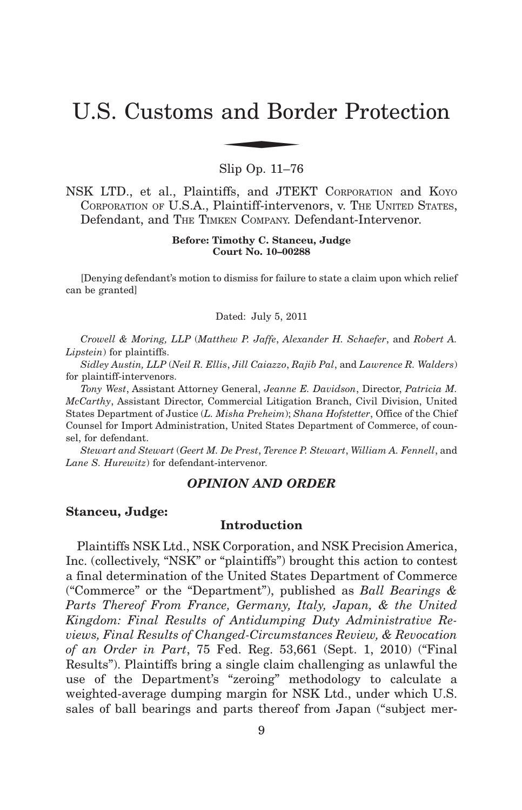# U.S. Customs and Border Protection and Bor

Slip Op. 11–76

NSK LTD., et al., Plaintiffs, and JTEKT CORPORATION and KOYO CORPORATION OF U.S.A., Plaintiff-intervenors, v. THE UNITED STATES, Defendant, and THE TIMKEN COMPANY. Defendant-Intervenor.

> **Before: Timothy C. Stanceu, Judge Court No. 10–00288**

[Denying defendant's motion to dismiss for failure to state a claim upon which relief can be granted]

Dated: July 5, 2011

*Crowell & Moring, LLP* (*Matthew P. Jaffe*, *Alexander H. Schaefer*, and *Robert A. Lipstein*) for plaintiffs.

*Sidley Austin, LLP* (*Neil R. Ellis*, *Jill Caiazzo*, *Rajib Pal*, and *Lawrence R. Walders*) for plaintiff-intervenors.

*Tony West*, Assistant Attorney General, *Jeanne E. Davidson*, Director, *Patricia M. McCarthy*, Assistant Director, Commercial Litigation Branch, Civil Division, United States Department of Justice (*L. Misha Preheim*); *Shana Hofstetter*, Office of the Chief Counsel for Import Administration, United States Department of Commerce, of counsel, for defendant.

*Stewart and Stewart* (*Geert M. De Prest*, *Terence P. Stewart*, *William A. Fennell*, and *Lane S. Hurewitz*) for defendant-intervenor.

## *OPINION AND ORDER*

#### **Stanceu, Judge:**

# **Introduction**

Plaintiffs NSK Ltd., NSK Corporation, and NSK Precision America, Inc. (collectively, "NSK" or "plaintiffs") brought this action to contest a final determination of the United States Department of Commerce ("Commerce" or the "Department"), published as *Ball Bearings & Parts Thereof From France, Germany, Italy, Japan, & the United Kingdom: Final Results of Antidumping Duty Administrative Reviews, Final Results of Changed-Circumstances Review, & Revocation of an Order in Part*, 75 Fed. Reg. 53,661 (Sept. 1, 2010) ("Final Results"). Plaintiffs bring a single claim challenging as unlawful the use of the Department's "zeroing" methodology to calculate a weighted-average dumping margin for NSK Ltd., under which U.S. sales of ball bearings and parts thereof from Japan ("subject mer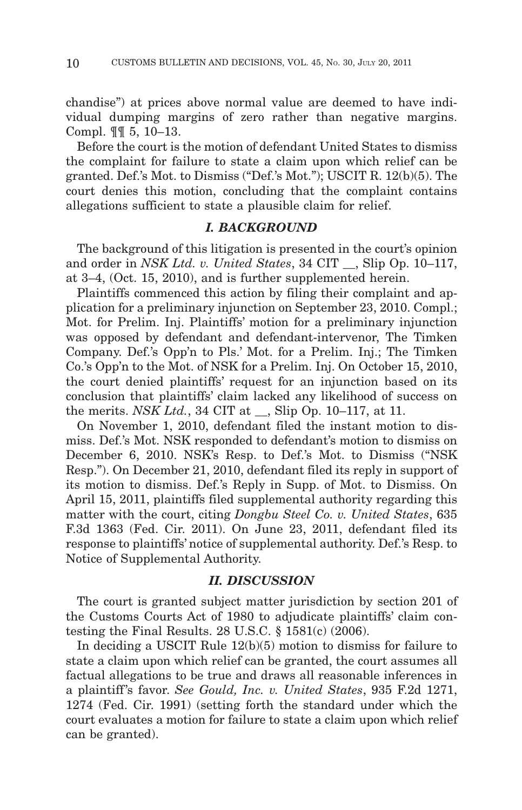chandise") at prices above normal value are deemed to have individual dumping margins of zero rather than negative margins. Compl. ¶¶ 5, 10–13.

Before the court is the motion of defendant United States to dismiss the complaint for failure to state a claim upon which relief can be granted. Def.'s Mot. to Dismiss ("Def.'s Mot."); USCIT R. 12(b)(5). The court denies this motion, concluding that the complaint contains allegations sufficient to state a plausible claim for relief.

## *I. BACKGROUND*

The background of this litigation is presented in the court's opinion and order in *NSK Ltd. v. United States*, 34 CIT , Slip Op. 10–117, at 3–4, (Oct. 15, 2010), and is further supplemented herein.

Plaintiffs commenced this action by filing their complaint and application for a preliminary injunction on September 23, 2010. Compl.; Mot. for Prelim. Inj. Plaintiffs' motion for a preliminary injunction was opposed by defendant and defendant-intervenor, The Timken Company. Def.'s Opp'n to Pls.' Mot. for a Prelim. Inj.; The Timken Co.'s Opp'n to the Mot. of NSK for a Prelim. Inj. On October 15, 2010, the court denied plaintiffs' request for an injunction based on its conclusion that plaintiffs' claim lacked any likelihood of success on the merits. *NSK Ltd.*, 34 CIT at \_\_, Slip Op. 10–117, at 11.

On November 1, 2010, defendant filed the instant motion to dismiss. Def.'s Mot. NSK responded to defendant's motion to dismiss on December 6, 2010. NSK's Resp. to Def.'s Mot. to Dismiss ("NSK Resp."). On December 21, 2010, defendant filed its reply in support of its motion to dismiss. Def.'s Reply in Supp. of Mot. to Dismiss. On April 15, 2011, plaintiffs filed supplemental authority regarding this matter with the court, citing *Dongbu Steel Co. v. United States*, 635 F.3d 1363 (Fed. Cir. 2011). On June 23, 2011, defendant filed its response to plaintiffs' notice of supplemental authority. Def.'s Resp. to Notice of Supplemental Authority.

#### *II. DISCUSSION*

The court is granted subject matter jurisdiction by section 201 of the Customs Courts Act of 1980 to adjudicate plaintiffs' claim contesting the Final Results. 28 U.S.C.  $\S$  1581(c) (2006).

In deciding a USCIT Rule 12(b)(5) motion to dismiss for failure to state a claim upon which relief can be granted, the court assumes all factual allegations to be true and draws all reasonable inferences in a plaintiff 's favor. *See Gould, Inc. v. United States*, 935 F.2d 1271, 1274 (Fed. Cir. 1991) (setting forth the standard under which the court evaluates a motion for failure to state a claim upon which relief can be granted).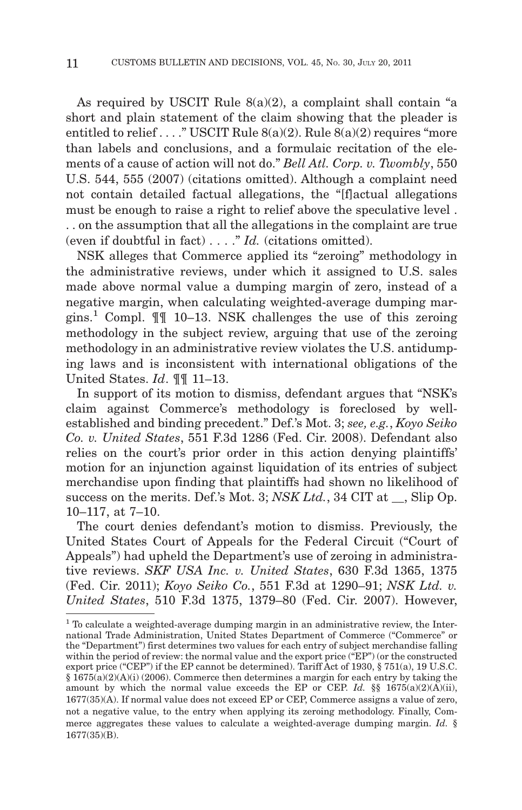As required by USCIT Rule  $8(a)(2)$ , a complaint shall contain "a short and plain statement of the claim showing that the pleader is entitled to relief . . . ." USCIT Rule  $8(a)(2)$ . Rule  $8(a)(2)$  requires "more than labels and conclusions, and a formulaic recitation of the elements of a cause of action will not do." *Bell Atl. Corp. v. Twombly*, 550 U.S. 544, 555 (2007) (citations omitted). Although a complaint need not contain detailed factual allegations, the "[f]actual allegations must be enough to raise a right to relief above the speculative level . . . on the assumption that all the allegations in the complaint are true (even if doubtful in fact) . . . ." *Id.* (citations omitted).

NSK alleges that Commerce applied its "zeroing" methodology in the administrative reviews, under which it assigned to U.S. sales made above normal value a dumping margin of zero, instead of a negative margin, when calculating weighted-average dumping margins.1 Compl. ¶¶ 10–13. NSK challenges the use of this zeroing methodology in the subject review, arguing that use of the zeroing methodology in an administrative review violates the U.S. antidumping laws and is inconsistent with international obligations of the United States. *Id*. ¶¶ 11–13.

In support of its motion to dismiss, defendant argues that "NSK's claim against Commerce's methodology is foreclosed by wellestablished and binding precedent." Def.'s Mot. 3; *see, e.g.*, *Koyo Seiko Co. v. United States*, 551 F.3d 1286 (Fed. Cir. 2008). Defendant also relies on the court's prior order in this action denying plaintiffs' motion for an injunction against liquidation of its entries of subject merchandise upon finding that plaintiffs had shown no likelihood of success on the merits. Def.'s Mot. 3; *NSK Ltd.*, 34 CIT at \_\_, Slip Op. 10–117, at 7–10.

The court denies defendant's motion to dismiss. Previously, the United States Court of Appeals for the Federal Circuit ("Court of Appeals") had upheld the Department's use of zeroing in administrative reviews. *SKF USA Inc. v. United States*, 630 F.3d 1365, 1375 (Fed. Cir. 2011); *Koyo Seiko Co.*, 551 F.3d at 1290–91; *NSK Ltd. v. United States*, 510 F.3d 1375, 1379–80 (Fed. Cir. 2007). However,

<sup>&</sup>lt;sup>1</sup> To calculate a weighted-average dumping margin in an administrative review, the International Trade Administration, United States Department of Commerce ("Commerce" or the "Department") first determines two values for each entry of subject merchandise falling within the period of review: the normal value and the export price ("EP") (or the constructed export price ("CEP") if the EP cannot be determined). Tariff Act of 1930, § 751(a), 19 U.S.C.  $§ 1675(a)(2)(A)(i)$  (2006). Commerce then determines a margin for each entry by taking the amount by which the normal value exceeds the EP or CEP. *Id.*  $\S$  1675(a)(2)(A)(ii), 1677(35)(A). If normal value does not exceed EP or CEP, Commerce assigns a value of zero, not a negative value, to the entry when applying its zeroing methodology. Finally, Commerce aggregates these values to calculate a weighted-average dumping margin. *Id.* § 1677(35)(B).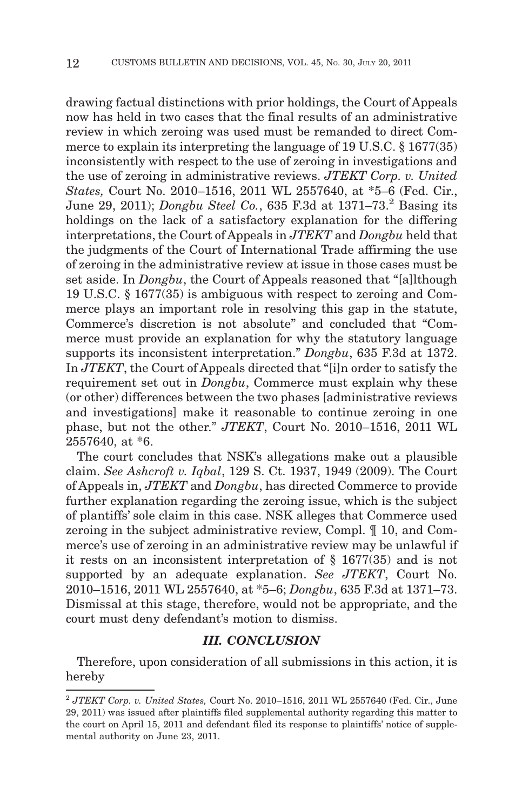drawing factual distinctions with prior holdings, the Court of Appeals now has held in two cases that the final results of an administrative review in which zeroing was used must be remanded to direct Commerce to explain its interpreting the language of 19 U.S.C. § 1677(35) inconsistently with respect to the use of zeroing in investigations and the use of zeroing in administrative reviews. *JTEKT Corp. v. United States,* Court No. 2010–1516, 2011 WL 2557640, at \*5–6 (Fed. Cir., June 29, 2011); *Dongbu Steel Co.*, 635 F.3d at 1371–73.<sup>2</sup> Basing its holdings on the lack of a satisfactory explanation for the differing interpretations, the Court of Appeals in *JTEKT* and *Dongbu* held that the judgments of the Court of International Trade affirming the use of zeroing in the administrative review at issue in those cases must be set aside. In *Dongbu*, the Court of Appeals reasoned that "[a]lthough 19 U.S.C. § 1677(35) is ambiguous with respect to zeroing and Commerce plays an important role in resolving this gap in the statute, Commerce's discretion is not absolute" and concluded that "Commerce must provide an explanation for why the statutory language supports its inconsistent interpretation." *Dongbu*, 635 F.3d at 1372. In *JTEKT*, the Court of Appeals directed that "[i]n order to satisfy the requirement set out in *Dongbu*, Commerce must explain why these (or other) differences between the two phases [administrative reviews and investigations] make it reasonable to continue zeroing in one phase, but not the other." *JTEKT*, Court No. 2010–1516, 2011 WL 2557640, at \*6.

The court concludes that NSK's allegations make out a plausible claim. *See Ashcroft v. Iqbal*, 129 S. Ct. 1937, 1949 (2009). The Court of Appeals in, *JTEKT* and *Dongbu*, has directed Commerce to provide further explanation regarding the zeroing issue, which is the subject of plantiffs' sole claim in this case. NSK alleges that Commerce used zeroing in the subject administrative review, Compl. ¶ 10, and Commerce's use of zeroing in an administrative review may be unlawful if it rests on an inconsistent interpretation of § 1677(35) and is not supported by an adequate explanation. *See JTEKT*, Court No. 2010–1516, 2011 WL 2557640, at \*5–6; *Dongbu*, 635 F.3d at 1371–73. Dismissal at this stage, therefore, would not be appropriate, and the court must deny defendant's motion to dismiss.

## *III. CONCLUSION*

Therefore, upon consideration of all submissions in this action, it is hereby

<sup>2</sup> *JTEKT Corp. v. United States,* Court No. 2010–1516, 2011 WL 2557640 (Fed. Cir., June 29, 2011) was issued after plaintiffs filed supplemental authority regarding this matter to the court on April 15, 2011 and defendant filed its response to plaintiffs' notice of supplemental authority on June 23, 2011.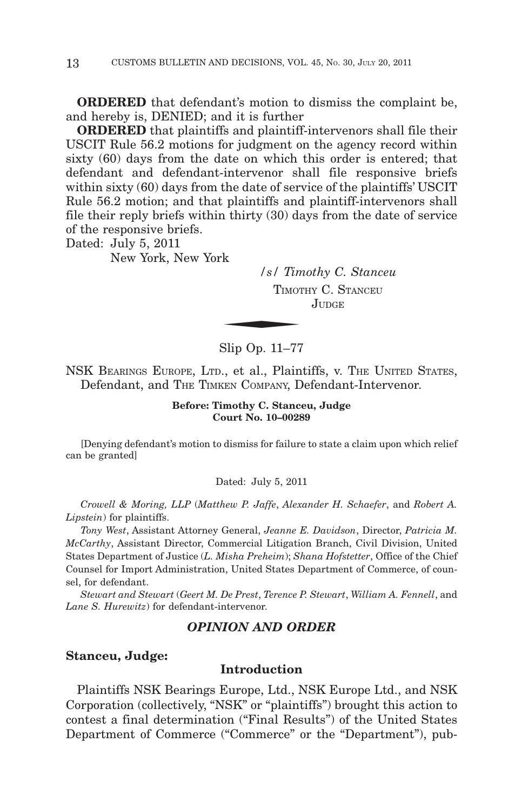**ORDERED** that defendant's motion to dismiss the complaint be, and hereby is, DENIED; and it is further

**ORDERED** that plaintiffs and plaintiff-intervenors shall file their USCIT Rule 56.2 motions for judgment on the agency record within sixty (60) days from the date on which this order is entered; that defendant and defendant-intervenor shall file responsive briefs within sixty (60) days from the date of service of the plaintiffs' USCIT Rule 56.2 motion; and that plaintiffs and plaintiff-intervenors shall file their reply briefs within thirty (30) days from the date of service of the responsive briefs.

Dated: July 5, 2011

New York, New York

*/s/ Timothy C. Stanceu* TIMOTHY C. STANCEU  $\frac{1}{s}$  /  $\frac{s}{s}$   $\frac{1}{s}$   $\frac{1}{s}$   $\frac{1}{s}$   $\frac{1}{s}$   $\frac{1}{s}$   $\frac{1}{s}$   $\frac{1}{s}$   $\frac{1}{s}$   $\frac{1}{s}$   $\frac{1}{s}$   $\frac{1}{s}$   $\frac{1}{s}$   $\frac{1}{s}$   $\frac{1}{s}$   $\frac{1}{s}$   $\frac{1}{s}$   $\frac{1}{s}$   $\frac{1}{s}$   $\frac{1}{s}$   $\frac{1}{s}$  JUDGE.

Slip Op. 11–77

NSK BEARINGS EUROPE, LTD., et al., Plaintiffs, v. THE UNITED STATES, Defendant, and THE TIMKEN COMPANY, Defendant-Intervenor.

> **Before: Timothy C. Stanceu, Judge Court No. 10–00289**

[Denying defendant's motion to dismiss for failure to state a claim upon which relief can be granted]

Dated: July 5, 2011

*Crowell & Moring, LLP* (*Matthew P. Jaffe*, *Alexander H. Schaefer*, and *Robert A. Lipstein*) for plaintiffs.

*Tony West*, Assistant Attorney General, *Jeanne E. Davidson*, Director, *Patricia M. McCarthy*, Assistant Director, Commercial Litigation Branch, Civil Division, United States Department of Justice (*L. Misha Preheim*); *Shana Hofstetter*, Office of the Chief Counsel for Import Administration, United States Department of Commerce, of counsel, for defendant.

*Stewart and Stewart* (*Geert M. De Prest*, *Terence P. Stewart*, *William A. Fennell*, and *Lane S. Hurewitz*) for defendant-intervenor.

### *OPINION AND ORDER*

#### **Stanceu, Judge:**

#### **Introduction**

Plaintiffs NSK Bearings Europe, Ltd., NSK Europe Ltd., and NSK Corporation (collectively, "NSK" or "plaintiffs") brought this action to contest a final determination ("Final Results") of the United States Department of Commerce ("Commerce" or the "Department"), pub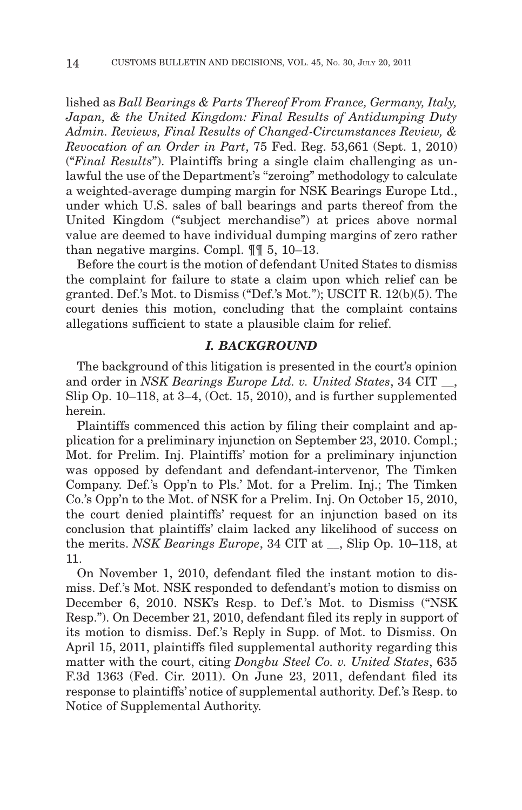lished as *Ball Bearings & Parts Thereof From France, Germany, Italy, Japan, & the United Kingdom: Final Results of Antidumping Duty Admin. Reviews, Final Results of Changed-Circumstances Review, & Revocation of an Order in Part*, 75 Fed. Reg. 53,661 (Sept. 1, 2010) ("*Final Results*"). Plaintiffs bring a single claim challenging as unlawful the use of the Department's "zeroing" methodology to calculate a weighted-average dumping margin for NSK Bearings Europe Ltd., under which U.S. sales of ball bearings and parts thereof from the United Kingdom ("subject merchandise") at prices above normal value are deemed to have individual dumping margins of zero rather than negative margins. Compl. ¶¶ 5, 10–13.

Before the court is the motion of defendant United States to dismiss the complaint for failure to state a claim upon which relief can be granted. Def.'s Mot. to Dismiss ("Def.'s Mot."); USCIT R. 12(b)(5). The court denies this motion, concluding that the complaint contains allegations sufficient to state a plausible claim for relief.

## *I. BACKGROUND*

The background of this litigation is presented in the court's opinion and order in *NSK Bearings Europe Ltd. v. United States*, 34 CIT \_\_, Slip Op. 10–118, at 3–4, (Oct. 15, 2010), and is further supplemented herein.

Plaintiffs commenced this action by filing their complaint and application for a preliminary injunction on September 23, 2010. Compl.; Mot. for Prelim. Inj. Plaintiffs' motion for a preliminary injunction was opposed by defendant and defendant-intervenor, The Timken Company. Def.'s Opp'n to Pls.' Mot. for a Prelim. Inj.; The Timken Co.'s Opp'n to the Mot. of NSK for a Prelim. Inj. On October 15, 2010, the court denied plaintiffs' request for an injunction based on its conclusion that plaintiffs' claim lacked any likelihood of success on the merits. *NSK Bearings Europe*, 34 CIT at \_\_, Slip Op. 10–118, at 11.

On November 1, 2010, defendant filed the instant motion to dismiss. Def.'s Mot. NSK responded to defendant's motion to dismiss on December 6, 2010. NSK's Resp. to Def.'s Mot. to Dismiss ("NSK Resp."). On December 21, 2010, defendant filed its reply in support of its motion to dismiss. Def.'s Reply in Supp. of Mot. to Dismiss. On April 15, 2011, plaintiffs filed supplemental authority regarding this matter with the court, citing *Dongbu Steel Co. v. United States*, 635 F.3d 1363 (Fed. Cir. 2011). On June 23, 2011, defendant filed its response to plaintiffs' notice of supplemental authority. Def.'s Resp. to Notice of Supplemental Authority.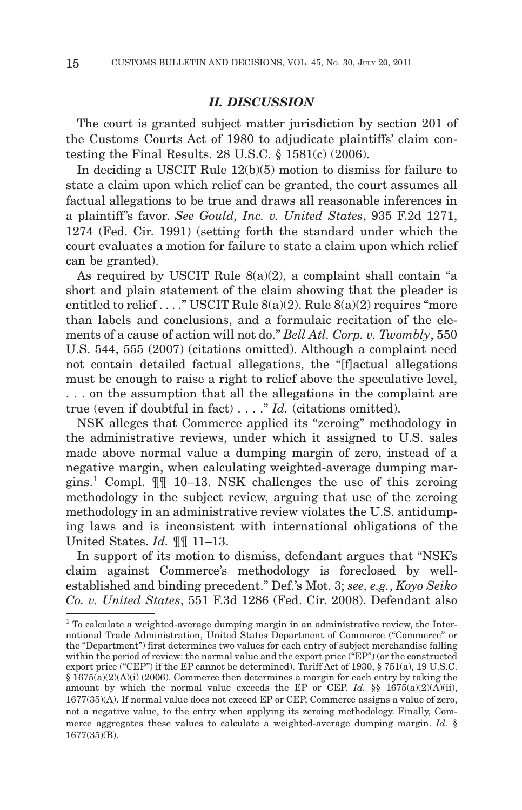# *II. DISCUSSION*

The court is granted subject matter jurisdiction by section 201 of the Customs Courts Act of 1980 to adjudicate plaintiffs' claim contesting the Final Results. 28 U.S.C.  $\S$  1581(c) (2006).

In deciding a USCIT Rule 12(b)(5) motion to dismiss for failure to state a claim upon which relief can be granted, the court assumes all factual allegations to be true and draws all reasonable inferences in a plaintiff 's favor. *See Gould, Inc. v. United States*, 935 F.2d 1271, 1274 (Fed. Cir. 1991) (setting forth the standard under which the court evaluates a motion for failure to state a claim upon which relief can be granted).

As required by USCIT Rule 8(a)(2), a complaint shall contain "a short and plain statement of the claim showing that the pleader is entitled to relief . . . ." USCIT Rule  $8(a)(2)$ . Rule  $8(a)(2)$  requires "more than labels and conclusions, and a formulaic recitation of the elements of a cause of action will not do." *Bell Atl. Corp. v. Twombly*, 550 U.S. 544, 555 (2007) (citations omitted). Although a complaint need not contain detailed factual allegations, the "[f]actual allegations must be enough to raise a right to relief above the speculative level, . . . on the assumption that all the allegations in the complaint are true (even if doubtful in fact) . . . ." *Id.* (citations omitted).

NSK alleges that Commerce applied its "zeroing" methodology in the administrative reviews, under which it assigned to U.S. sales made above normal value a dumping margin of zero, instead of a negative margin, when calculating weighted-average dumping margins.1 Compl. ¶¶ 10–13. NSK challenges the use of this zeroing methodology in the subject review, arguing that use of the zeroing methodology in an administrative review violates the U.S. antidumping laws and is inconsistent with international obligations of the United States. *Id.* ¶¶ 11–13.

In support of its motion to dismiss, defendant argues that "NSK's claim against Commerce's methodology is foreclosed by wellestablished and binding precedent." Def.'s Mot. 3; *see, e.g.*, *Koyo Seiko Co. v. United States*, 551 F.3d 1286 (Fed. Cir. 2008). Defendant also

<sup>&</sup>lt;sup>1</sup> To calculate a weighted-average dumping margin in an administrative review, the International Trade Administration, United States Department of Commerce ("Commerce" or the "Department") first determines two values for each entry of subject merchandise falling within the period of review: the normal value and the export price ("EP") (or the constructed export price ("CEP") if the EP cannot be determined). Tariff Act of 1930, § 751(a), 19 U.S.C.  $§ 1675(a)(2)(A)(i)$  (2006). Commerce then determines a margin for each entry by taking the amount by which the normal value exceeds the EP or CEP. *Id.*  $\S$  1675(a)(2)(A)(ii), 1677(35)(A). If normal value does not exceed EP or CEP, Commerce assigns a value of zero, not a negative value, to the entry when applying its zeroing methodology. Finally, Commerce aggregates these values to calculate a weighted-average dumping margin. *Id.* § 1677(35)(B).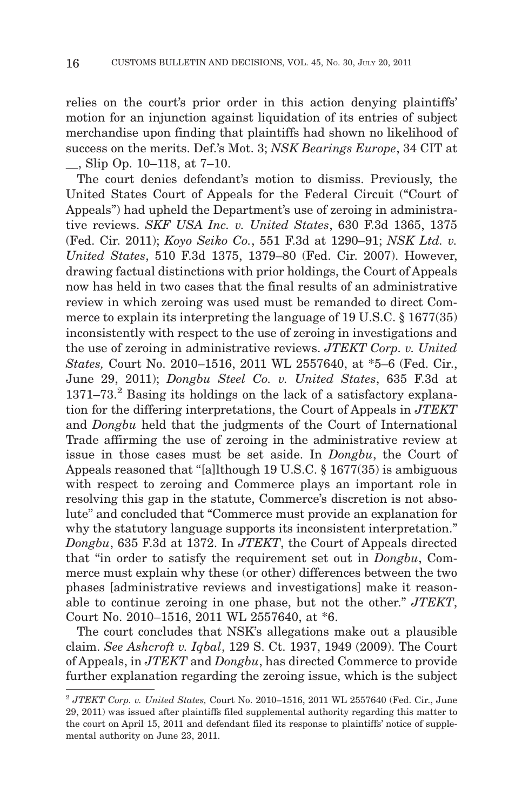relies on the court's prior order in this action denying plaintiffs' motion for an injunction against liquidation of its entries of subject merchandise upon finding that plaintiffs had shown no likelihood of success on the merits. Def.'s Mot. 3; *NSK Bearings Europe*, 34 CIT at \_\_, Slip Op. 10–118, at 7–10.

The court denies defendant's motion to dismiss. Previously, the United States Court of Appeals for the Federal Circuit ("Court of Appeals") had upheld the Department's use of zeroing in administrative reviews. *SKF USA Inc. v. United States*, 630 F.3d 1365, 1375 (Fed. Cir. 2011); *Koyo Seiko Co.*, 551 F.3d at 1290–91; *NSK Ltd. v. United States*, 510 F.3d 1375, 1379–80 (Fed. Cir. 2007). However, drawing factual distinctions with prior holdings, the Court of Appeals now has held in two cases that the final results of an administrative review in which zeroing was used must be remanded to direct Commerce to explain its interpreting the language of 19 U.S.C. § 1677(35) inconsistently with respect to the use of zeroing in investigations and the use of zeroing in administrative reviews. *JTEKT Corp. v. United States,* Court No. 2010–1516, 2011 WL 2557640, at \*5–6 (Fed. Cir., June 29, 2011); *Dongbu Steel Co. v. United States*, 635 F.3d at  $1371-73.2$  Basing its holdings on the lack of a satisfactory explanation for the differing interpretations, the Court of Appeals in *JTEKT* and *Dongbu* held that the judgments of the Court of International Trade affirming the use of zeroing in the administrative review at issue in those cases must be set aside. In *Dongbu*, the Court of Appeals reasoned that "[a]lthough 19 U.S.C. § 1677(35) is ambiguous with respect to zeroing and Commerce plays an important role in resolving this gap in the statute, Commerce's discretion is not absolute" and concluded that "Commerce must provide an explanation for why the statutory language supports its inconsistent interpretation." *Dongbu*, 635 F.3d at 1372. In *JTEKT*, the Court of Appeals directed that "in order to satisfy the requirement set out in *Dongbu*, Commerce must explain why these (or other) differences between the two phases [administrative reviews and investigations] make it reasonable to continue zeroing in one phase, but not the other." *JTEKT*, Court No. 2010–1516, 2011 WL 2557640, at \*6.

The court concludes that NSK's allegations make out a plausible claim. *See Ashcroft v. Iqbal*, 129 S. Ct. 1937, 1949 (2009). The Court of Appeals, in *JTEKT* and *Dongbu*, has directed Commerce to provide further explanation regarding the zeroing issue, which is the subject

<sup>2</sup> *JTEKT Corp. v. United States,* Court No. 2010–1516, 2011 WL 2557640 (Fed. Cir., June 29, 2011) was issued after plaintiffs filed supplemental authority regarding this matter to the court on April 15, 2011 and defendant filed its response to plaintiffs' notice of supplemental authority on June 23, 2011.